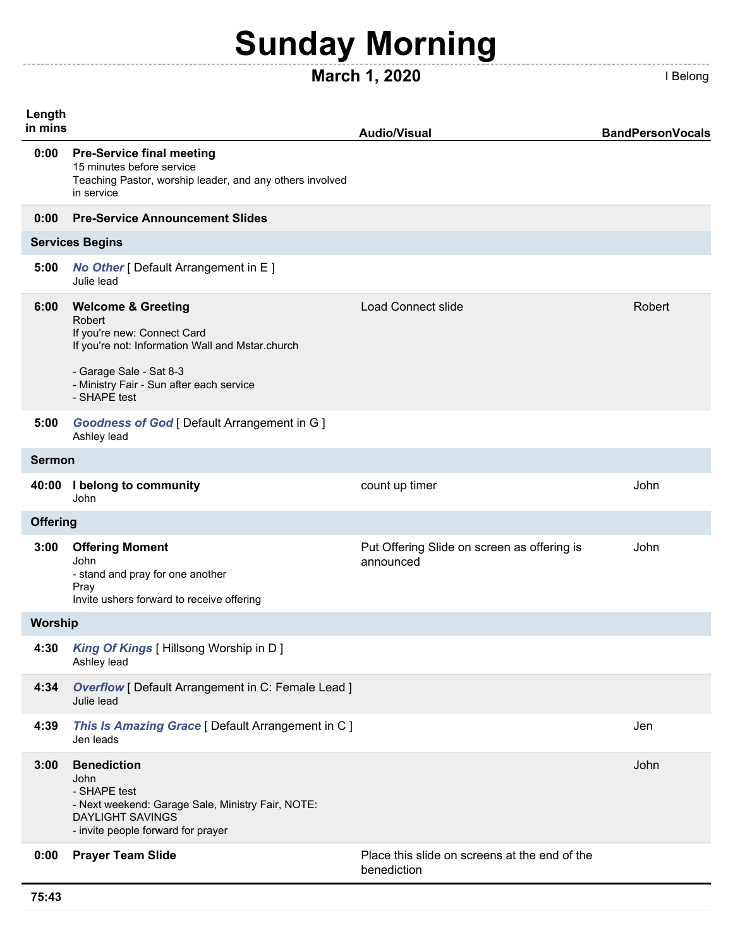# **Sunday Morning**

## **March 1, 2020 I Belong**

**Length in mins Audio/Visual BandPersonVocals 0:00 Pre-Service final meeting** 15 minutes before service Teaching Pastor, worship leader, and any others involved in service **0:00 Pre-Service Announcement Slides 5:00** *No Other* [ Default Arrangement in E ] Julie lead **6:00 Welcome & Greeting** Robert If you're new: Connect Card If you're not: Information Wall and Mstar.church - Garage Sale - Sat 8-3 - Ministry Fair - Sun after each service - SHAPE test Load Connect slide **Robert** Robert **5:00** *Goodness of God* [ Default Arrangement in G ] Ashley lead **40:00 I belong to community** John count up timer and the state of the state of the John **3:00 Offering Moment** John - stand and pray for one another Pray Invite ushers forward to receive offering Put Offering Slide on screen as offering is announced John **4:30** *King Of Kings* [ Hillsong Worship in D ] Ashley lead **4:34** *Overflow* [ Default Arrangement in C: Female Lead ] Julie lead **4:39** *This Is Amazing Grace* [ Default Arrangement in C ] Jen leads Jen **3:00 Benediction** John - SHAPE test - Next weekend: Garage Sale, Ministry Fair, NOTE: DAYLIGHT SAVINGS - invite people forward for prayer John **0:00 Prayer Team Slide Place this slide on screens at the end of the** benediction **Services Begins Sermon Offering Worship**